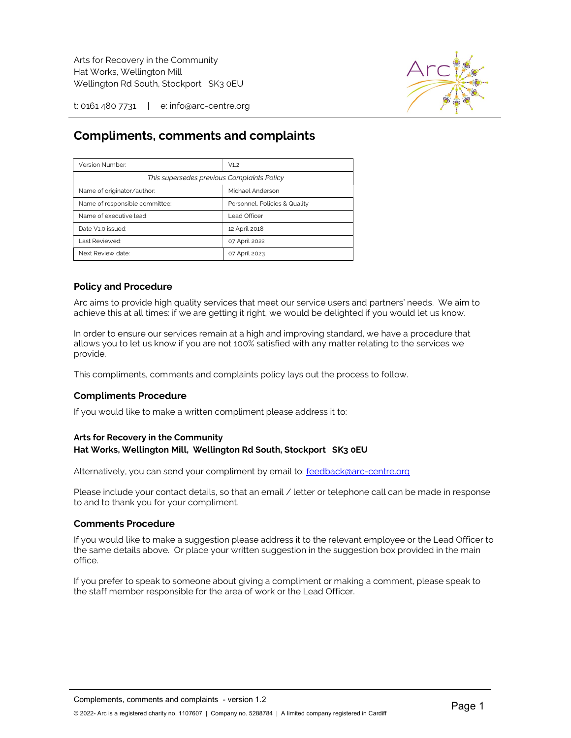

t: 0161 480 7731 | e: info@arc-centre.org

# Compliments, comments and complaints

| Version Number:                            | V1.2                          |
|--------------------------------------------|-------------------------------|
| This supersedes previous Complaints Policy |                               |
| Name of originator/author:                 | Michael Anderson              |
| Name of responsible committee:             | Personnel, Policies & Quality |
| Name of executive lead:                    | Lead Officer                  |
| Date V1.0 issued:                          | 12 April 2018                 |
| Last Reviewed:                             | 07 April 2022                 |
| Next Review date:                          | 07 April 2023                 |

## Policy and Procedure

Arc aims to provide high quality services that meet our service users and partners' needs. We aim to achieve this at all times: if we are getting it right, we would be delighted if you would let us know.

In order to ensure our services remain at a high and improving standard, we have a procedure that allows you to let us know if you are not 100% satisfied with any matter relating to the services we provide.

This compliments, comments and complaints policy lays out the process to follow.

### Compliments Procedure

If you would like to make a written compliment please address it to:

#### Arts for Recovery in the Community Hat Works, Wellington Mill, Wellington Rd South, Stockport SK3 0EU

Alternatively, you can send your compliment by email to: feedback@arc-centre.org

Please include your contact details, so that an email / letter or telephone call can be made in response to and to thank you for your compliment.

#### Comments Procedure

If you would like to make a suggestion please address it to the relevant employee or the Lead Officer to the same details above. Or place your written suggestion in the suggestion box provided in the main office.

If you prefer to speak to someone about giving a compliment or making a comment, please speak to the staff member responsible for the area of work or the Lead Officer.